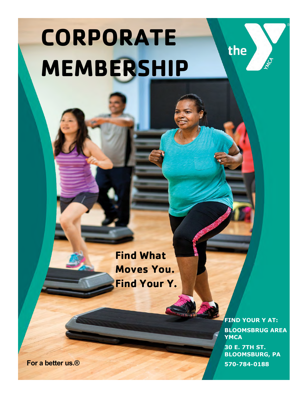# **CORPORATE MEMBERSHIP**

**Find What Moves You. Find Your Y.** 

> **FIND YOUR Y AT: BLOOMSBRUG AREA YMCA 30 E. 7TH ST. BLOOMSBURG, PA**

the

**For a better us.® 570-784-0188**